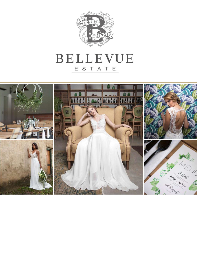

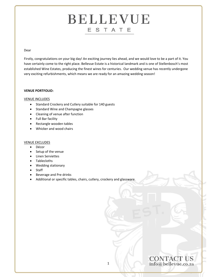#### Dear

Firstly, congratulations on your big day! An exciting journey lies ahead, and we would love to be a part of it. You have certainly come to the right place. Bellevue Estate is a historical landmark and is one of Stellenbosch's most established Wine Estates, producing the finest wines for centuries. Our wedding venue has recently undergone very exciting refurbishments, which means we are ready for an amazing wedding season!

#### **VENUE PORTFOLIO:**

#### VENUE INCLUDES

- Standard Crockery and Cutlery suitable for 140 guests
- Standard Wine and Champagne glasses
- Cleaning of venue after function
- Full Bar facility
- Rectangle wooden tables
- Whicker and wood chairs

#### VENUE EXCLUDES

- Décor
- Setup of the venue
- Linen Serviettes
- Tablecloths
- Wedding stationary
- Staff
- Beverage and Pre drinks
- Additional or specific tables, chairs, cutlery, crockery and glassware.

# CONTACT US<br>info@bellevue.co.za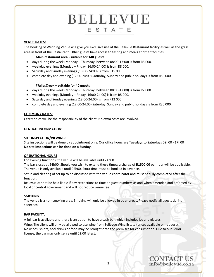#### **VENUE RATES:**

The booking of Wedding Venue will give you exclusive use of the Bellevue Restaurant facility as well as the grass area in front of the Restaurant. Other guests have access to tasting and meals at other facilities.

#### **Main restaurant area ‐ suitable for 140 guests**

- days during the week (Monday Thursday, between 08:00‐17:00) is from R5 000.
- weekday evenings (Monday Friday, 16:00‐24:00) is from R8 000.
- Saturday and Sunday evenings (18:00-24:00) is from R15 000.
- complete day and evening (12:00‐24:00) Saturday, Sunday and public holidays is from R50 000.

#### **#JuliesCreek – suitable for 40 guests**

- days during the week (Monday Thursday, between 08:00‐17:00) is from R2 000.
- weekday evenings (Monday Friday, 16:00‐24:00) is from R5 000.
- Saturday and Sunday evenings (18:00‐24:00) is from R12 000.
- complete day and evening (12:00‐24:00) Saturday, Sunday and public holidays is from R30 000.

#### **CEREMONY RATES:**

Ceremonies will be the responsibility of the client. No extra costs are involved.

#### **GENERAL INFORMATION:**

#### **SITE INSPECTION/VIEWINGS**

Site inspections will be done by appointment only. Our office hours are Tuesdays to Saturdays 09h00 ‐ 17h00 **No site inspections can be done on a Sunday.**

#### **OPERATIONAL HOURS**

For evening functions, the venue will be available until 24h00.

The bar closes at 24h00. Should you wish to extend these times: a charge of **R1500,00** per hour will be applicable. The venue is only available until 02h00. Extra time must be booked in advance.

Setup and clearing of set up to be discussed with the venue coordinator and must be fully completed after the function.

Bellevue cannot be held liable if any restrictions to time or guest numbers as and when amended and enforced by local or central government and will not reduce venue fee.

#### **SMOKING**

The venue is a non‐smoking area. Smoking will only be allowed in open areas. Please notify all guests during speeches.

#### **BAR FACILITY:**

A full bar is available and there is an option to have a cash bar, which includes ice and glasses.

Wine: The client will only be allowed to use wine from Bellevue Wine Estate (prices available on request). No wines, spirits, cool drinks or food may be brought onto the premises for consumption. Due to our liquor license, the bar may only serve until 02:00 latest.

**CONTACT US** info@bellevue.co.za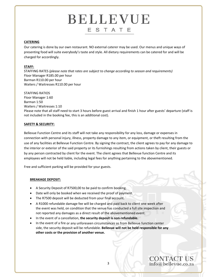#### **CATERING**

Our catering is done by our own restaurant. NO external caterer may be used. Our menus and unique ways of presenting food will suite everybody's taste and style. All dietary requirements can be catered for and will be charged for accordingly.

#### **STAFF:**

STAFFING RATES *(please note that rates are subject to change according to season and requirements)*  Floor Manager R185.00 per hour Barman R110.00 per hour Waiters / Waitresses R110.00 per hour

STAFFING RATIOS Floor Manager 1:60 Barman 1:50 Waiters / Waitresses 1:10 Please note that all staff need to start 3 hours before guest arrival and finish 1 hour after guests' departure (staff is not included in the booking fee, this is an additional cost).

#### **SAFETY & SECURITY:**

Bellevue Function Centre and its staff will not take any responsibility for any loss, damage or expenses in connection with personal injury, illness, property damage to any item, or equipment, or theft resulting from the use of any facilities at Bellevue Function Centre. By signing the contract, the client agrees to pay for any damage to the interior or exterior of the said property or its furnishings resulting from actions taken by client, their guests or by any person contracted by client for the event. The client agrees that Bellevue function Centre and its employees will not be held liable, including legal fees for anything pertaining to the abovementioned.

Free and sufficient parking will be provided for your guests.

#### **BREAKAGE DEPOSIT:**

- A Security Deposit of R7500,00 to be paid to confirm booking.
- Date will only be booked when we received the proof of payment.
- The R7500 deposit will be deducted from your final account.
- A R1000 refundable damage fee will be charged and paid back to client one week after the event was held, on condition that the venue has conducted a full site inspection and not reported any damages as a direct result of the abovementioned event.
- In the event of a cancellation, **the security deposit is non‐refundable.**
- In the event of a fire or any unforeseen circumstances as from Bellevue function center side, the security deposit will be refundable. **Bellevue will not be held responsible for any other costs or the provision of another venue.**

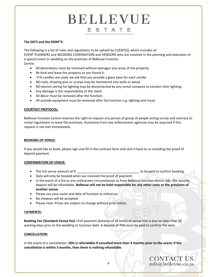#### **The DO'S and the DONT'S:**

The following is a list of rules and regulations to be upheld by CLIENT(S), which includes all EVENT PLANNERS and WEDDING CORDINATORS and VENDORS who are involved in the planning and execution of a special event or wedding on the premises of Bellevue Function Centre.

- All decorations must be removed without damages any areas of the property.
- Be kind and leave the property as you found it.
- If lit candles are used, we ask that you provide a glass base for each candle.
- NO nails, drawing pins or screws may be hammered into walls or wood.
- NO electric wiring for lighting may be disconnected by any rental company to connect their lighting.
- Any damage is the responsibility of the client.
- All décor must be removed after the function.
- All outside equipment must be removed after the function e.g. lighting and music

#### **COURTSEY PROTOCOL:**

Bellevue Function Centre reserves the right to request any person of group of people acting unruly and contrary to rental regulations to leave the premises. Assistance from law enforcement agencies may be acquired if this request is not met immediately.

#### **BOOKING OF VENUE:**

If you would like to book, please sign and fill in the contract form and sent it back to us including the proof of deposit payment.

#### **CONFIRMATION OF VENUE:**

- The full venue amount of R \_\_\_\_\_\_\_\_\_\_\_\_\_\_\_\_\_\_\_\_\_\_\_\_\_\_\_\_\_\_\_\_\_\_\_ to be paid to confirm booking.
- Date will only be booked when we received the proof of payment.
- In the event of a fire or any unforeseen circumstances as from Bellevue function centre side, the security deposit will be refundable. **Bellevue will not be held responsible for any other costs or the provision of another venue.**
- Please use your name and date of function as reference.
- No cheques will be accepted.
- Please note: Prices are subject to change without prior notice.

#### P**AYMENTS:**

**Booking Fee (Standard Venue fee) –**Full payment (balance of all costs) of venue hire is due no later than 30 working days prior to the wedding or function date. A deposit of 75% must be paid to confirm the date.

#### **CANCELLATION:**

In the event of a cancellation, **50% is refundable if cancelled more than 3 months prior to the event; if the cancellation is within 3 months, then there is nothing refundable.**

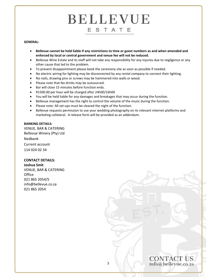#### **GENERAL:**

- Bellevue cannot be held liable if any restrictions to time or guest numbers as and when amended and **enforced by local or central government and venue fee will not be reduced.**
- Bellevue Wine Estate and its staff will not take any responsibility for any injuries due to negligence or any other cause that led to the problem.
- To prevent disappointment please book the ceremony site as soon as possible if needed.
- No electric wiring for lighting may be disconnected by any rental company to connect their lighting.
- No nails, drawing pins or screws may be hammered into walls or wood.
- Please note that No drinks may be outsourced.
- Bar will close 15 minutes before function ends.
- R1500.00 per hour will be charged after 24h00/16h00
- You will be held liable for any damages and breakages that may occur during the function.
- Bellevue management has the right to control the volume of the music during the function.
- Please note: All set-ups must be cleared the night of the function.
- Bellevue requests permission to use your wedding photography on its relevant internet platforms and marketing collateral. A release form will be provided as an addendum.

#### **BANKING DETAILS:**

VENUE, BAR & CATERING Bellevue Winery (Pty) Ltd Nedbank Current account 114 024 02 34

#### **CONTACT DETAILS:**

**Joshua Smit** VENUE, BAR & CATERING **Office** 021 865 2054/5 info@bellevue.co.za 021 865 2054

**CONTACT US** info@bellevue.co.za

5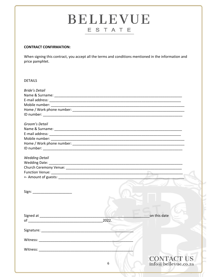#### **CONTRACT CONFIRMATION:**

When signing this contract, you accept all the terms and conditions mentioned in the information and price pamphlet.

#### **DETAILS**

| <b>Bride's Detail</b> |       |                     |
|-----------------------|-------|---------------------|
|                       |       |                     |
|                       |       |                     |
|                       |       |                     |
|                       |       |                     |
|                       |       |                     |
|                       |       |                     |
| Groom's Detail        |       |                     |
|                       |       |                     |
|                       |       |                     |
|                       |       |                     |
|                       |       |                     |
|                       |       |                     |
|                       |       |                     |
| <b>Wedding Detail</b> |       |                     |
|                       |       |                     |
|                       |       |                     |
|                       |       |                     |
|                       |       |                     |
|                       |       |                     |
|                       |       |                     |
|                       |       |                     |
|                       |       |                     |
|                       |       |                     |
|                       |       |                     |
|                       |       | on this date        |
|                       | 2022. |                     |
|                       |       |                     |
|                       |       |                     |
|                       |       |                     |
|                       |       |                     |
|                       |       |                     |
| Witness:              |       |                     |
|                       |       |                     |
|                       |       | <b>CONTACT US</b>   |
|                       | 6     | info@bellevue.co.za |
|                       |       |                     |
|                       |       |                     |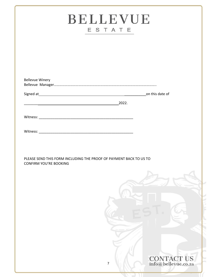| <b>BELLEVUE</b><br>ESTATE |                                                                    |  |
|---------------------------|--------------------------------------------------------------------|--|
|                           |                                                                    |  |
|                           |                                                                    |  |
| <b>Bellevue Winery</b>    |                                                                    |  |
|                           |                                                                    |  |
|                           | $\overline{\phantom{a}2022}$ .                                     |  |
|                           |                                                                    |  |
|                           |                                                                    |  |
|                           |                                                                    |  |
|                           | PLEASE SEND THIS FORM INCLUDING THE PROOF OF PAYMENT BACK TO US TO |  |
| CONFIRM YOU'RE BOOKING    |                                                                    |  |
|                           |                                                                    |  |
|                           |                                                                    |  |
|                           |                                                                    |  |
|                           |                                                                    |  |
|                           |                                                                    |  |
|                           |                                                                    |  |
|                           |                                                                    |  |